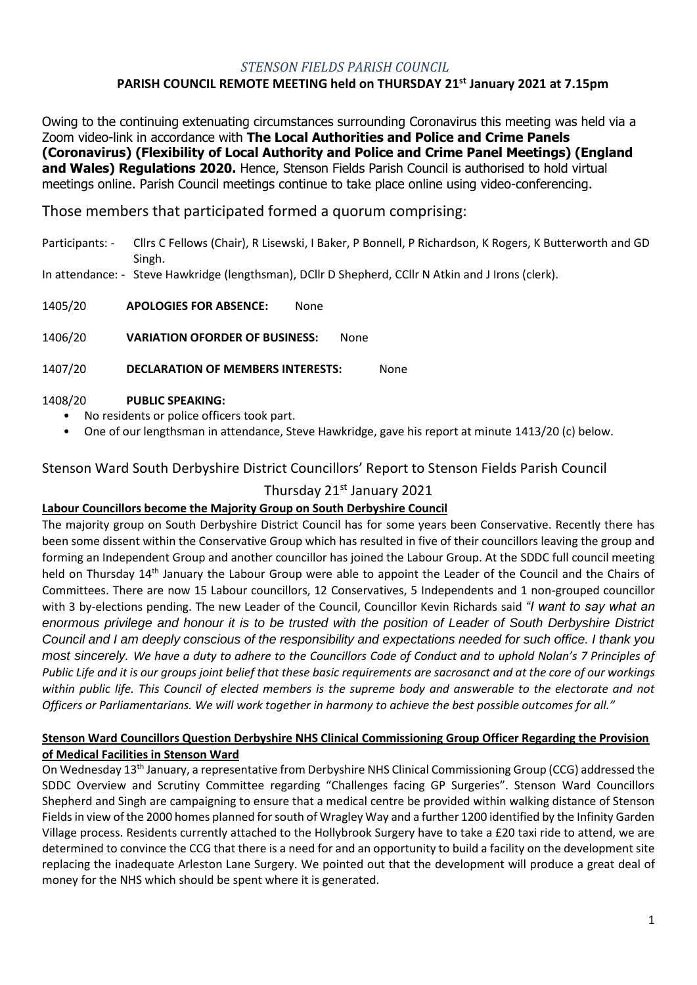### *STENSON FIELDS PARISH COUNCIL*

## **PARISH COUNCIL REMOTE MEETING held on THURSDAY 21 st January 2021 at 7.15pm**

Owing to the continuing extenuating circumstances surrounding Coronavirus this meeting was held via a Zoom video-link in accordance with **The Local Authorities and Police and Crime Panels (Coronavirus) (Flexibility of Local Authority and Police and Crime Panel Meetings) (England and Wales) Regulations 2020.** Hence, Stenson Fields Parish Council is authorised to hold virtual meetings online. Parish Council meetings continue to take place online using video-conferencing.

Those members that participated formed a quorum comprising:

- Participants: Cllrs C Fellows (Chair), R Lisewski, I Baker, P Bonnell, P Richardson, K Rogers, K Butterworth and GD Singh.
- In attendance: Steve Hawkridge (lengthsman), DCllr D Shepherd, CCllr N Atkin and J Irons (clerk).

1405/20 **APOLOGIES FOR ABSENCE:** None

1406/20 **VARIATION OFORDER OF BUSINESS:** None

1407/20 **DECLARATION OF MEMBERS INTERESTS:** None

#### 1408/20 **PUBLIC SPEAKING:**

- No residents or police officers took part.
- One of our lengthsman in attendance, Steve Hawkridge, gave his report at minute 1413/20 (c) below.

Stenson Ward South Derbyshire District Councillors' Report to Stenson Fields Parish Council

### Thursday 21<sup>st</sup> January 2021

### **Labour Councillors become the Majority Group on South Derbyshire Council**

The majority group on South Derbyshire District Council has for some years been Conservative. Recently there has been some dissent within the Conservative Group which has resulted in five of their councillors leaving the group and forming an Independent Group and another councillor has joined the Labour Group. At the SDDC full council meeting held on Thursday 14<sup>th</sup> January the Labour Group were able to appoint the Leader of the Council and the Chairs of Committees. There are now 15 Labour councillors, 12 Conservatives, 5 Independents and 1 non-grouped councillor with 3 by-elections pending. The new Leader of the Council, Councillor Kevin Richards said *"I want to say what an enormous privilege and honour it is to be trusted with the position of Leader of South Derbyshire District Council and I am deeply conscious of the responsibility and expectations needed for such office. I thank you most sincerely. We have a duty to adhere to the Councillors Code of Conduct and to uphold Nolan's 7 Principles of Public Life and it is our groups joint belief that these basic requirements are sacrosanct and at the core of our workings*  within public life. This Council of elected members is the supreme body and answerable to the electorate and not *Officers or Parliamentarians. We will work together in harmony to achieve the best possible outcomes for all."*

### **Stenson Ward Councillors Question Derbyshire NHS Clinical Commissioning Group Officer Regarding the Provision of Medical Facilities in Stenson Ward**

On Wednesday 13th January, a representative from Derbyshire NHS Clinical Commissioning Group (CCG) addressed the SDDC Overview and Scrutiny Committee regarding "Challenges facing GP Surgeries". Stenson Ward Councillors Shepherd and Singh are campaigning to ensure that a medical centre be provided within walking distance of Stenson Fields in view of the 2000 homes planned for south of Wragley Way and a further 1200 identified by the Infinity Garden Village process. Residents currently attached to the Hollybrook Surgery have to take a £20 taxi ride to attend, we are determined to convince the CCG that there is a need for and an opportunity to build a facility on the development site replacing the inadequate Arleston Lane Surgery. We pointed out that the development will produce a great deal of money for the NHS which should be spent where it is generated.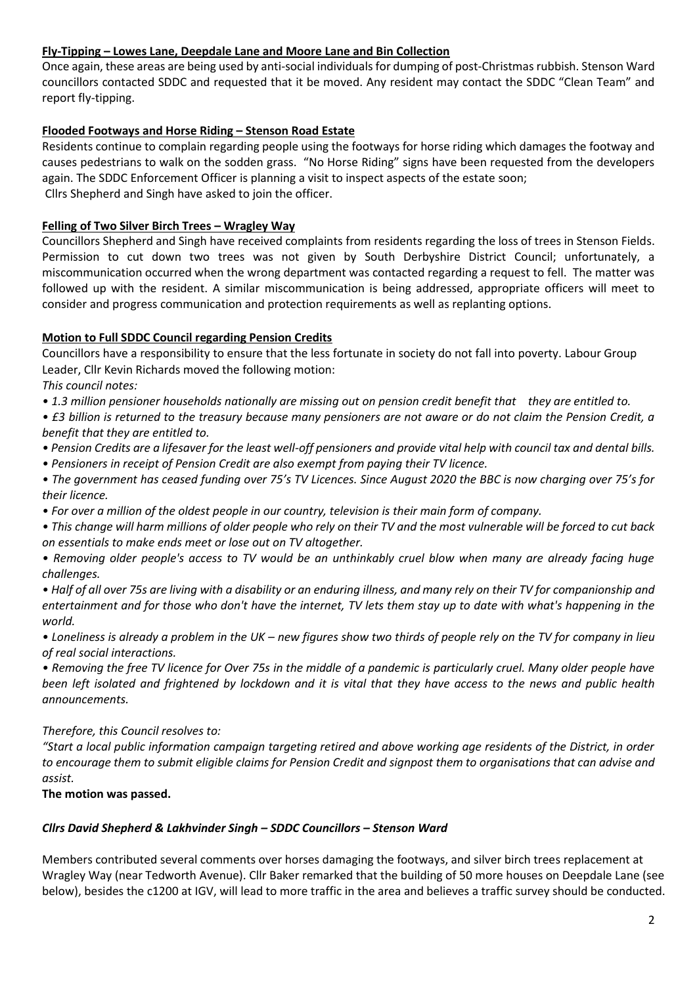### **Fly-Tipping – Lowes Lane, Deepdale Lane and Moore Lane and Bin Collection**

Once again, these areas are being used by anti-social individuals for dumping of post-Christmas rubbish. Stenson Ward councillors contacted SDDC and requested that it be moved. Any resident may contact the SDDC "Clean Team" and report fly-tipping.

### **Flooded Footways and Horse Riding – Stenson Road Estate**

Residents continue to complain regarding people using the footways for horse riding which damages the footway and causes pedestrians to walk on the sodden grass. "No Horse Riding" signs have been requested from the developers again. The SDDC Enforcement Officer is planning a visit to inspect aspects of the estate soon; Cllrs Shepherd and Singh have asked to join the officer.

### **Felling of Two Silver Birch Trees – Wragley Way**

Councillors Shepherd and Singh have received complaints from residents regarding the loss of trees in Stenson Fields. Permission to cut down two trees was not given by South Derbyshire District Council; unfortunately, a miscommunication occurred when the wrong department was contacted regarding a request to fell. The matter was followed up with the resident. A similar miscommunication is being addressed, appropriate officers will meet to consider and progress communication and protection requirements as well as replanting options.

### **Motion to Full SDDC Council regarding Pension Credits**

Councillors have a responsibility to ensure that the less fortunate in society do not fall into poverty. Labour Group Leader, Cllr Kevin Richards moved the following motion:

*This council notes:*

*• 1.3 million pensioner households nationally are missing out on pension credit benefit that they are entitled to.*

*• £3 billion is returned to the treasury because many pensioners are not aware or do not claim the Pension Credit, a benefit that they are entitled to.*

- *Pension Credits are a lifesaver for the least well-off pensioners and provide vital help with council tax and dental bills.*
- *Pensioners in receipt of Pension Credit are also exempt from paying their TV licence.*
- *The government has ceased funding over 75's TV Licences. Since August 2020 the BBC is now charging over 75's for their licence.*
- *For over a million of the oldest people in our country, television is their main form of company.*

*• This change will harm millions of older people who rely on their TV and the most vulnerable will be forced to cut back on essentials to make ends meet or lose out on TV altogether.*

*• Removing older people's access to TV would be an unthinkably cruel blow when many are already facing huge challenges.*

*• Half of all over 75s are living with a disability or an enduring illness, and many rely on their TV for companionship and entertainment and for those who don't have the internet, TV lets them stay up to date with what's happening in the world.*

*• Loneliness is already a problem in the UK – new figures show two thirds of people rely on the TV for company in lieu of real social interactions.*

*• Removing the free TV licence for Over 75s in the middle of a pandemic is particularly cruel. Many older people have been left isolated and frightened by lockdown and it is vital that they have access to the news and public health announcements.*

### *Therefore, this Council resolves to:*

*"Start a local public information campaign targeting retired and above working age residents of the District, in order to encourage them to submit eligible claims for Pension Credit and signpost them to organisations that can advise and assist.*

**The motion was passed.**

### *Cllrs David Shepherd & Lakhvinder Singh – SDDC Councillors – Stenson Ward*

Members contributed several comments over horses damaging the footways, and silver birch trees replacement at Wragley Way (near Tedworth Avenue). Cllr Baker remarked that the building of 50 more houses on Deepdale Lane (see below), besides the c1200 at IGV, will lead to more traffic in the area and believes a traffic survey should be conducted.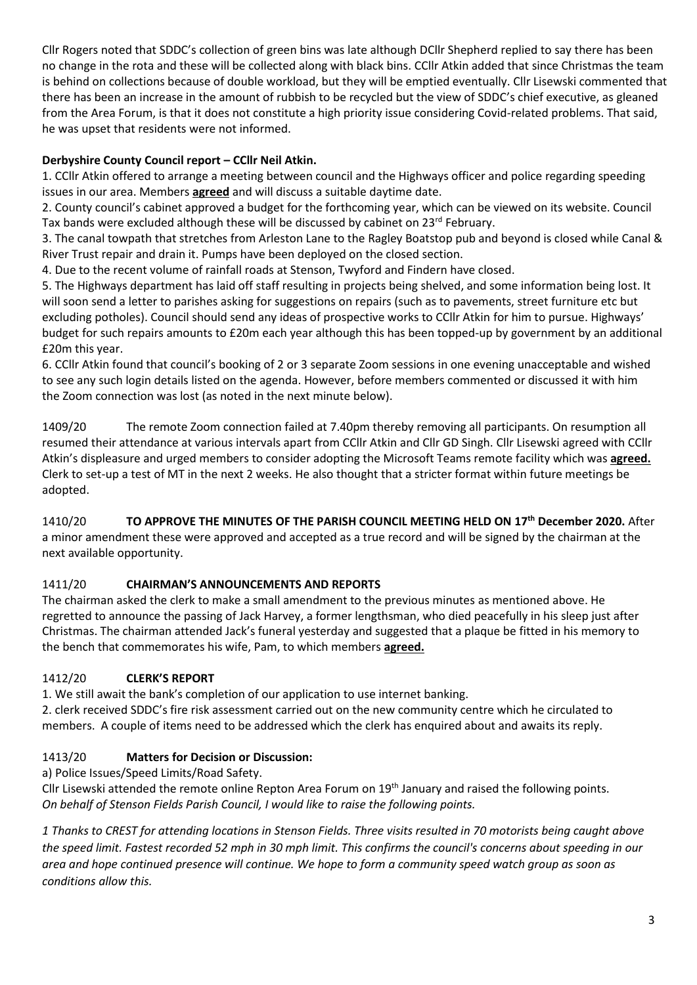Cllr Rogers noted that SDDC's collection of green bins was late although DCllr Shepherd replied to say there has been no change in the rota and these will be collected along with black bins. CCllr Atkin added that since Christmas the team is behind on collections because of double workload, but they will be emptied eventually. Cllr Lisewski commented that there has been an increase in the amount of rubbish to be recycled but the view of SDDC's chief executive, as gleaned from the Area Forum, is that it does not constitute a high priority issue considering Covid-related problems. That said, he was upset that residents were not informed.

# **Derbyshire County Council report – CCllr Neil Atkin.**

1. CCllr Atkin offered to arrange a meeting between council and the Highways officer and police regarding speeding issues in our area. Members **agreed** and will discuss a suitable daytime date.

2. County council's cabinet approved a budget for the forthcoming year, which can be viewed on its website. Council Tax bands were excluded although these will be discussed by cabinet on 23<sup>rd</sup> February.

3. The canal towpath that stretches from Arleston Lane to the Ragley Boatstop pub and beyond is closed while Canal & River Trust repair and drain it. Pumps have been deployed on the closed section.

4. Due to the recent volume of rainfall roads at Stenson, Twyford and Findern have closed.

5. The Highways department has laid off staff resulting in projects being shelved, and some information being lost. It will soon send a letter to parishes asking for suggestions on repairs (such as to pavements, street furniture etc but excluding potholes). Council should send any ideas of prospective works to CCllr Atkin for him to pursue. Highways' budget for such repairs amounts to £20m each year although this has been topped-up by government by an additional £20m this year.

6. CCllr Atkin found that council's booking of 2 or 3 separate Zoom sessions in one evening unacceptable and wished to see any such login details listed on the agenda. However, before members commented or discussed it with him the Zoom connection was lost (as noted in the next minute below).

1409/20 The remote Zoom connection failed at 7.40pm thereby removing all participants. On resumption all resumed their attendance at various intervals apart from CCllr Atkin and Cllr GD Singh. Cllr Lisewski agreed with CCllr Atkin's displeasure and urged members to consider adopting the Microsoft Teams remote facility which was **agreed.** Clerk to set-up a test of MT in the next 2 weeks. He also thought that a stricter format within future meetings be adopted.

1410/20 **TO APPROVE THE MINUTES OF THE PARISH COUNCIL MEETING HELD ON 17 th December 2020.** After a minor amendment these were approved and accepted as a true record and will be signed by the chairman at the next available opportunity.

# 1411/20 **CHAIRMAN'S ANNOUNCEMENTS AND REPORTS**

The chairman asked the clerk to make a small amendment to the previous minutes as mentioned above. He regretted to announce the passing of Jack Harvey, a former lengthsman, who died peacefully in his sleep just after Christmas. The chairman attended Jack's funeral yesterday and suggested that a plaque be fitted in his memory to the bench that commemorates his wife, Pam, to which members **agreed.**

## 1412/20 **CLERK'S REPORT**

1. We still await the bank's completion of our application to use internet banking.

2. clerk received SDDC's fire risk assessment carried out on the new community centre which he circulated to members. A couple of items need to be addressed which the clerk has enquired about and awaits its reply.

# 1413/20 **Matters for Decision or Discussion:**

a) Police Issues/Speed Limits/Road Safety.

Cllr Lisewski attended the remote online Repton Area Forum on 19<sup>th</sup> January and raised the following points. *On behalf of Stenson Fields Parish Council, I would like to raise the following points.*

*1 Thanks to CREST for attending locations in Stenson Fields. Three visits resulted in 70 motorists being caught above the speed limit. Fastest recorded 52 mph in 30 mph limit. This confirms the council's concerns about speeding in our area and hope continued presence will continue. We hope to form a community speed watch group as soon as conditions allow this.*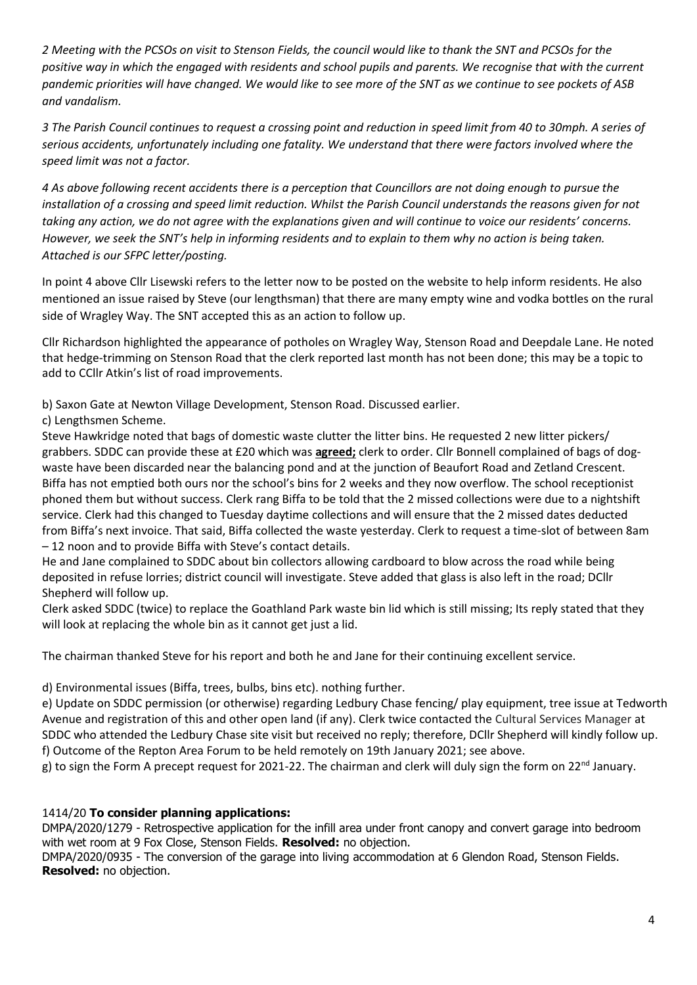*2 Meeting with the PCSOs on visit to Stenson Fields, the council would like to thank the SNT and PCSOs for the positive way in which the engaged with residents and school pupils and parents. We recognise that with the current pandemic priorities will have changed. We would like to see more of the SNT as we continue to see pockets of ASB and vandalism.* 

*3 The Parish Council continues to request a crossing point and reduction in speed limit from 40 to 30mph. A series of serious accidents, unfortunately including one fatality. We understand that there were factors involved where the speed limit was not a factor.* 

*4 As above following recent accidents there is a perception that Councillors are not doing enough to pursue the installation of a crossing and speed limit reduction. Whilst the Parish Council understands the reasons given for not taking any action, we do not agree with the explanations given and will continue to voice our residents' concerns. However, we seek the SNT's help in informing residents and to explain to them why no action is being taken. Attached is our SFPC letter/posting.* 

In point 4 above Cllr Lisewski refers to the letter now to be posted on the website to help inform residents. He also mentioned an issue raised by Steve (our lengthsman) that there are many empty wine and vodka bottles on the rural side of Wragley Way. The SNT accepted this as an action to follow up.

Cllr Richardson highlighted the appearance of potholes on Wragley Way, Stenson Road and Deepdale Lane. He noted that hedge-trimming on Stenson Road that the clerk reported last month has not been done; this may be a topic to add to CCllr Atkin's list of road improvements.

b) Saxon Gate at Newton Village Development, Stenson Road. Discussed earlier.

c) Lengthsmen Scheme.

Steve Hawkridge noted that bags of domestic waste clutter the litter bins. He requested 2 new litter pickers/ grabbers. SDDC can provide these at £20 which was **agreed;** clerk to order. Cllr Bonnell complained of bags of dogwaste have been discarded near the balancing pond and at the junction of Beaufort Road and Zetland Crescent. Biffa has not emptied both ours nor the school's bins for 2 weeks and they now overflow. The school receptionist phoned them but without success. Clerk rang Biffa to be told that the 2 missed collections were due to a nightshift service. Clerk had this changed to Tuesday daytime collections and will ensure that the 2 missed dates deducted from Biffa's next invoice. That said, Biffa collected the waste yesterday. Clerk to request a time-slot of between 8am – 12 noon and to provide Biffa with Steve's contact details.

He and Jane complained to SDDC about bin collectors allowing cardboard to blow across the road while being deposited in refuse lorries; district council will investigate. Steve added that glass is also left in the road; DCllr Shepherd will follow up.

Clerk asked SDDC (twice) to replace the Goathland Park waste bin lid which is still missing; Its reply stated that they will look at replacing the whole bin as it cannot get just a lid.

The chairman thanked Steve for his report and both he and Jane for their continuing excellent service.

d) Environmental issues (Biffa, trees, bulbs, bins etc). nothing further.

e) Update on SDDC permission (or otherwise) regarding Ledbury Chase fencing/ play equipment, tree issue at Tedworth Avenue and registration of this and other open land (if any). Clerk twice contacted the Cultural Services Manager at SDDC who attended the Ledbury Chase site visit but received no reply; therefore, DCllr Shepherd will kindly follow up. f) Outcome of the Repton Area Forum to be held remotely on 19th January 2021; see above.

g) to sign the Form A precept request for 2021-22. The chairman and clerk will duly sign the form on 22<sup>nd</sup> January.

## 1414/20 **To consider planning applications:**

DMPA/2020/1279 - Retrospective application for the infill area under front canopy and convert garage into bedroom with wet room at 9 Fox Close, Stenson Fields. **Resolved:** no objection.

DMPA/2020/0935 - The conversion of the garage into living accommodation at 6 Glendon Road, Stenson Fields. **Resolved:** no objection.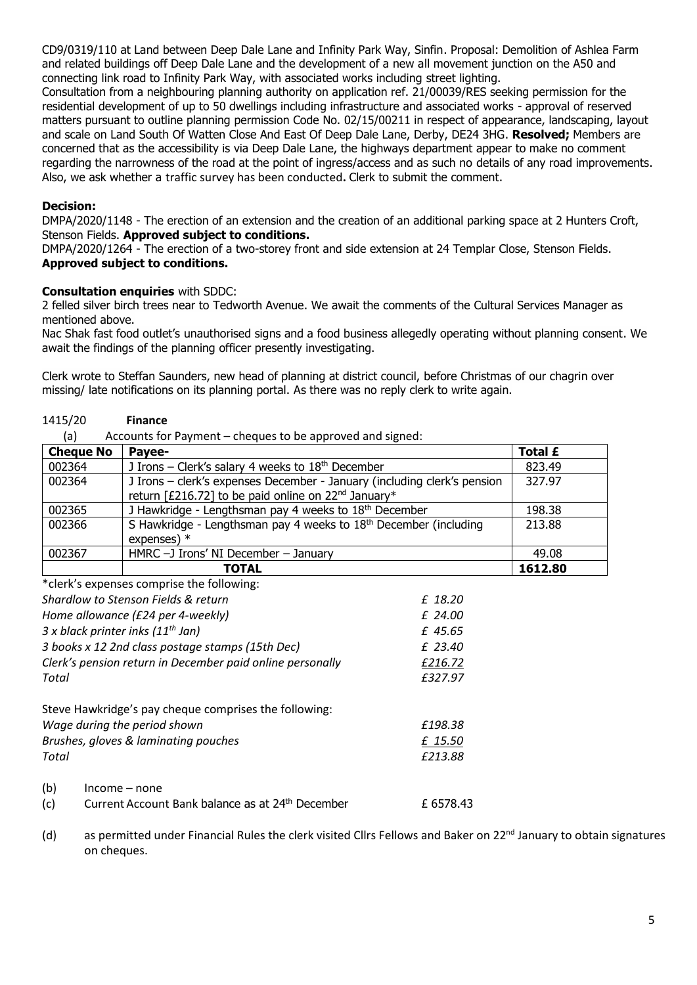CD9/0319/110 at Land between Deep Dale Lane and Infinity Park Way, Sinfin. Proposal: Demolition of Ashlea Farm and related buildings off Deep Dale Lane and the development of a new all movement junction on the A50 and connecting link road to Infinity Park Way, with associated works including street lighting.

Consultation from a neighbouring planning authority on application ref. 21/00039/RES seeking permission for the residential development of up to 50 dwellings including infrastructure and associated works - approval of reserved matters pursuant to outline planning permission Code No. 02/15/00211 in respect of appearance, landscaping, layout and scale on Land South Of Watten Close And East Of Deep Dale Lane, Derby, DE24 3HG. **Resolved;** Members are concerned that as the accessibility is via Deep Dale Lane, the highways department appear to make no comment regarding the narrowness of the road at the point of ingress/access and as such no details of any road improvements. Also, we ask whether a traffic survey has been conducted**.** Clerk to submit the comment.

### **Decision:**

DMPA/2020/1148 - The erection of an extension and the creation of an additional parking space at 2 Hunters Croft, Stenson Fields. **Approved subject to conditions.** 

DMPA/2020/1264 - The erection of a two-storey front and side extension at 24 Templar Close, Stenson Fields. **Approved subject to conditions.**

### **Consultation enquiries** with SDDC:

2 felled silver birch trees near to Tedworth Avenue. We await the comments of the Cultural Services Manager as mentioned above.

Nac Shak fast food outlet's unauthorised signs and a food business allegedly operating without planning consent. We await the findings of the planning officer presently investigating.

Clerk wrote to Steffan Saunders, new head of planning at district council, before Christmas of our chagrin over missing/ late notifications on its planning portal. As there was no reply clerk to write again.

#### 1415/20 **Finance**

(a) Accounts for Payment – cheques to be approved and signed:

| <b>Cheque No</b> | Payee-                                                                       | <b>Total £</b> |
|------------------|------------------------------------------------------------------------------|----------------|
| 002364           | J Irons – Clerk's salary 4 weeks to $18th$ December                          | 823.49         |
| 002364           | J Irons - clerk's expenses December - January (including clerk's pension     | 327.97         |
|                  | return [£216.72] to be paid online on 22 <sup>nd</sup> January*              |                |
| 002365           | J Hawkridge - Lengthsman pay 4 weeks to 18th December                        | 198.38         |
| 002366           | S Hawkridge - Lengthsman pay 4 weeks to 18 <sup>th</sup> December (including | 213.88         |
|                  | expenses) $*$                                                                |                |
| 002367           | HMRC $-J$ Irons' NI December $-$ January                                     | 49.08          |
|                  | <b>TOTAL</b>                                                                 | 1612.80        |

\*clerk's expenses comprise the following: *Shardlow to Stenson Fields & return £ 18.20* 

| <u>JIIUI UIUW LU JLCIIJUII I ICIUJ U I CLUI II</u>        | 1 10.LV |  |
|-----------------------------------------------------------|---------|--|
| Home allowance (£24 per 4-weekly)                         | £ 24.00 |  |
| 3 x black printer inks $(11^{th}$ Jan)                    | £ 45.65 |  |
| 3 books x 12 2nd class postage stamps (15th Dec)          | £ 23.40 |  |
| Clerk's pension return in December paid online personally | £216.72 |  |
| Total                                                     | £327.97 |  |
| Steve Hawkridge's pay cheque comprises the following:     |         |  |
| Wage during the period shown                              | £198.38 |  |
| Brushes, gloves & laminating pouches                      | £ 15.50 |  |
| Total                                                     | £213.88 |  |
| (b)<br>Income – none                                      |         |  |

(c) Current Account Bank balance as at  $24<sup>th</sup>$  December  $E$  6578.43

(d) as permitted under Financial Rules the clerk visited Cllrs Fellows and Baker on 22<sup>nd</sup> January to obtain signatures on cheques.